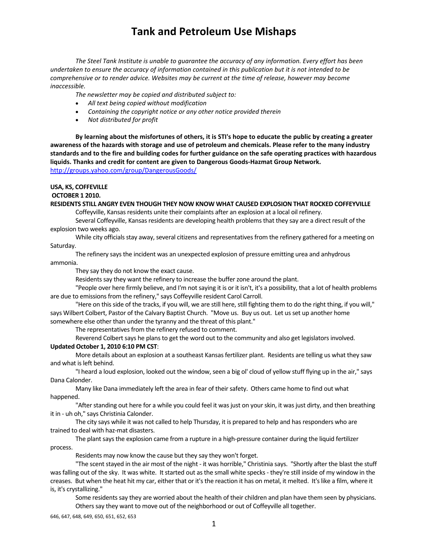*The Steel Tank Institute is unable to guarantee the accuracy of any information. Every effort has been* undertaken to ensure the accuracy of information contained in this publication but it is not intended to be *comprehensive or to render advice. Websites may be current at the time of release, however may become inaccessible.*

*The newsletter may be copied and distributed subject to:*

- *All text being copied without modification*
- *Containing the copyright notice or any other notice provided therein*
- *Not distributed for profit*

By learning about the misfortunes of others, it is STI's hope to educate the public by creating a greater awareness of the hazards with storage and use of petroleum and chemicals. Please refer to the many industry standards and to the fire and building codes for further guidance on the safe operating practices with hazardous **liquids. Thanks and credit for content are given to Dangerous Goods‐Hazmat Group Network.**  http://groups.yahoo.com/group/DangerousGoods/

#### **USA, KS, COFFEVILLE**

#### **OCTOBER 1 2010.**

### **RESIDENTS STILL ANGRY EVEN THOUGH THEY NOW KNOW WHAT CAUSED EXPLOSION THAT ROCKED COFFEYVILLE**

Coffeyville, Kansas residents unite their complaints after an explosion at a local oil refinery.

Several Coffeyville, Kansas residents are developing health problems that they say are a direct result of the explosion two weeks ago.

While city officials stay away, several citizens and representatives from the refinery gathered for a meeting on Saturday.

The refinery saysthe incident was an unexpected explosion of pressure emitting urea and anhydrous

ammonia.

They say they do not know the exact cause.

Residents say they want the refinery to increase the buffer zone around the plant.

"People over here firmly believe, and I'm not saying it is or it isn't, it's a possibility, that a lot of health problems are due to emissions from the refinery," says Coffeyville resident Carol Carroll.

"Here on this side of the tracks, if you will, we are still here, still fighting them to do the right thing, if you will," says Wilbert Colbert, Pastor of the Calvary Baptist Church. "Move us. Buy us out. Let usset up another home somewhere else other than under the tyranny and the threat of this plant."

The representatives from the refinery refused to comment.

Reverend Colbert says he plans to get the word out to the community and also get legislators involved.

#### **Updated October 1, 2010 6:10 PM CST**:

More details about an explosion at a southeast Kansasfertilizer plant. Residents are telling us what they saw and what is left behind.

"I heard a loud explosion, looked out the window, seen a big ol' cloud of yellow stuff flying up in the air," says Dana Calonder.

Many like Dana immediately left the area in fear of theirsafety. Others came home to find out what happened.

"After standing out here for a while you could feel it was just on your skin, it was just dirty, and then breathing it in ‐ uh oh," says Christinia Calonder.

The city says while it was not called to help Thursday, it is prepared to help and has responders who are trained to deal with haz‐mat disasters.

The plant says the explosion came from a rupture in a high-pressure container during the liquid fertilizer process.

Residents may now know the cause but they say they won't forget.

"The scent stayed in the air most of the night - it was horrible," Christinia says. "Shortly after the blast the stuff was falling out of the sky. It was white. It started out as the small white specks - they're still inside of my window in the creases. But when the heat hit my car, either that or it'sthe reaction it has on metal, it melted. It'slike a film, where it is, it's crystallizing."

Some residents say they are worried about the health of their children and plan have them seen by physicians. Others say they want to move out of the neighborhood or out of Coffeyville all together.

646, 647, 648, 649, 650, 651, 652, 653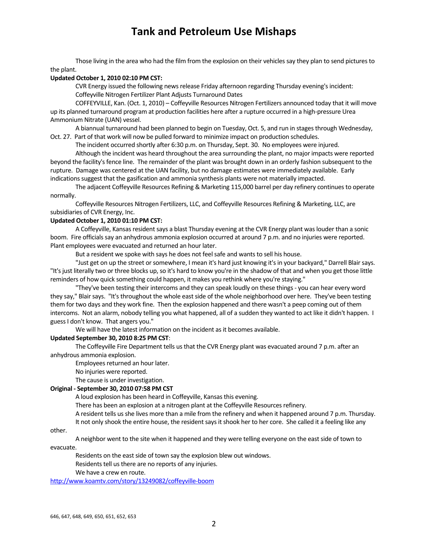Those living in the area who had the film from the explosion on their vehicles say they plan to send pictures to the plant.

### **Updated October 1, 2010 02:10 PM CST:**

CVR Energy issued the following news release Friday afternoon regarding Thursday evening's incident: Coffeyville Nitrogen Fertilizer Plant Adjusts Turnaround Dates

COFFEYVILLE, Kan. (Oct. 1, 2010) – Coffeyville Resources Nitrogen Fertilizers announced today that it will move up its planned turnaround program at production facilities here after a rupture occurred in a high‐pressure Urea Ammonium Nitrate (UAN) vessel.

A biannual turnaround had been planned to begin on Tuesday, Oct. 5, and run in stages through Wednesday, Oct. 27. Part of that work will now be pulled forward to minimize impact on production schedules.

The incident occurred shortly after 6:30 p.m. on Thursday, Sept. 30. No employees were injured.

Although the incident was heard throughout the area surrounding the plant, no major impacts were reported beyond the facility's fence line. The remainder of the plant was brought down in an orderly fashion subsequent to the rupture. Damage was centered at the UAN facility, but no damage estimates were immediately available. Early indications suggest that the gasification and ammonia synthesis plants were not materially impacted.

The adjacent Coffeyville Resources Refining & Marketing 115,000 barrel per day refinery continuesto operate normally.

Coffeyville Resources Nitrogen Fertilizers, LLC, and Coffeyville Resources Refining & Marketing, LLC, are subsidiaries of CVR Energy, Inc.

#### **Updated October 1, 2010 01:10 PM CST:**

A Coffeyville, Kansas resident says a blast Thursday evening at the CVR Energy plant was louder than a sonic boom. Fire officialssay an anhydrous ammonia explosion occurred at around 7 p.m. and no injuries were reported. Plant employees were evacuated and returned an hour later.

But a resident we spoke with says he does not feel safe and wants to sell his house.

"Just get on up the street or somewhere, I mean it's hard just knowing it's in your backyard," Darrell Blair says. "It's just literally two or three blocks up, so it's hard to know you're in the shadow of that and when you get those little reminders of how quick something could happen, it makes you rethink where you're staying."

"They've been testing their intercoms and they can speak loudly on these things ‐ you can hear every word they say," Blair says. "It's throughout the whole east side of the whole neighborhood over here. They've been testing them for two days and they work fine. Then the explosion happened and there wasn't a peep coming out of them intercoms. Not an alarm, nobody telling you what happened, all of a sudden they wanted to act like it didn't happen. I guessI don't know. That angers you."

We will have the latest information on the incident as it becomes available.

### **Updated September 30, 2010 8:25 PM CST**:

The Coffeyville Fire Department tells us that the CVR Energy plant was evacuated around 7 p.m. after an anhydrous ammonia explosion.

Employees returned an hour later.

No injuries were reported.

The cause is under investigation.

#### **Original ‐ September 30, 2010 07:58 PM CST**

A loud explosion has been heard in Coffeyville, Kansasthis evening.

There has been an explosion at a nitrogen plant at the Coffeyville Resources refinery.

A resident tells usshe lives more than a mile from the refinery and when it happened around 7 p.m. Thursday. It not only shook the entire house, the resident says it shook her to her core. She called it a feeling like any

other.

A neighbor went to the site when it happened and they were telling everyone on the eastside of town to

evacuate.

Residents on the east side of town say the explosion blew out windows.

Residents tell us there are no reports of any injuries.

We have a crew en route.

http://www.koamtv.com/story/13249082/coffeyville‐boom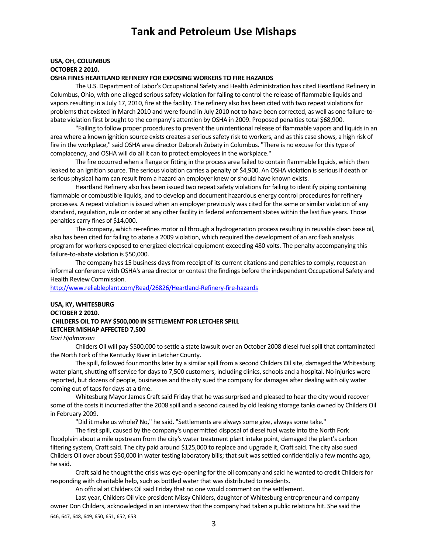## **USA, OH, COLUMBUS OCTOBER 2 2010.**

## **OSHA FINES HEARTLAND REFINERY FOR EXPOSING WORKERS TO FIRE HAZARDS**

The U.S. Department of Labor's Occupational Safety and Health Administration has cited Heartland Refinery in Columbus, Ohio, with one alleged serious safety violation for failing to control the release of flammable liquids and vapors resulting in a July 17, 2010, fire at the facility. The refinery also has been cited with two repeat violations for problems that existed in March 2010 and were found in July 2010 not to have been corrected, as well as one failure-toabate violation first brought to the company's attention by OSHA in 2009. Proposed penalties total \$68,900.

"Failing to follow proper procedures to prevent the unintentional release of flammable vapors and liquids in an area where a known ignition source exists creates a serioussafety risk to workers, and asthis case shows, a high risk of fire in the workplace," said OSHA area director Deborah Zubaty in Columbus. "There is no excuse for thistype of complacency, and OSHA will do all it can to protect employees in the workplace."

The fire occurred when a flange or fitting in the process area failed to contain flammable liquids, which then leaked to an ignition source. The serious violation carries a penalty of \$4,900. An OSHA violation is serious if death or serious physical harm can result from a hazard an employer knew or should have known exists.

Heartland Refinery also has been issued two repeat safety violations for failing to identify piping containing flammable or combustible liquids, and to develop and document hazardous energy control procedures for refinery processes. A repeat violation is issued when an employer previously was cited for the same or similar violation of any standard, regulation, rule or order at any other facility in federal enforcement states within the last five years. Those penalties carry fines of \$14,000.

The company, which re-refines motor oil through a hydrogenation process resulting in reusable clean base oil, also has been cited for failing to abate a 2009 violation, which required the development of an arc flash analysis program for workers exposed to energized electrical equipment exceeding 480 volts. The penalty accompanying this failure‐to‐abate violation is \$50,000.

The company has 15 business days from receipt of its current citations and penalties to comply, request an informal conference with OSHA's area director or contest the findings before the independent Occupational Safety and Health Review Commission.

http://www.reliableplant.com/Read/26826/Heartland‐Refinery‐fire‐hazards

## **USA, KY, WHITESBURG OCTOBER 2 2010. CHILDERS OIL TO PAY \$500,000 IN SETTLEMENT FOR LETCHER SPILL LETCHER MISHAP AFFECTED 7,500**

#### *Dori Hjalmarson*

Childers Oil will pay \$500,000 to settle a state lawsuit over an October 2008 diesel fuelspill that contaminated the North Fork of the Kentucky River in Letcher County.

The spill, followed four months later by a similar spill from a second Childers Oil site, damaged the Whitesburg water plant, shutting off service for days to 7,500 customers, including clinics, schools and a hospital. No injuries were reported, but dozens of people, businesses and the city sued the company for damages after dealing with oily water coming out of taps for days at a time.

Whitesburg Mayor James Craft said Friday that he was surprised and pleased to hear the city would recover some of the costsit incurred after the 2008 spill and a second caused by old leaking storage tanks owned by Childers Oil in February 2009.

"Did it make us whole? No," he said. "Settlements are always some give, always some take."

The first spill, caused by the company's unpermitted disposal of diesel fuel waste into the North Fork floodplain about a mile upstream from the city's water treatment plant intake point, damaged the plant's carbon filtering system, Craft said. The city paid around \$125,000 to replace and upgrade it, Craft said. The city also sued Childers Oil over about \$50,000 in water testing laboratory bills; that suit was settled confidentially a few months ago, he said.

Craft said he thought the crisis was eye-opening for the oil company and said he wanted to credit Childers for responding with charitable help, such as bottled water that was distributed to residents.

An official at Childers Oil said Friday that no one would comment on the settlement.

646, 647, 648, 649, 650, 651, 652, 653 Last year, Childers Oil vice president Missy Childers, daughter of Whitesburg entrepreneur and company owner Don Childers, acknowledged in an interview that the company had taken a public relations hit. She said the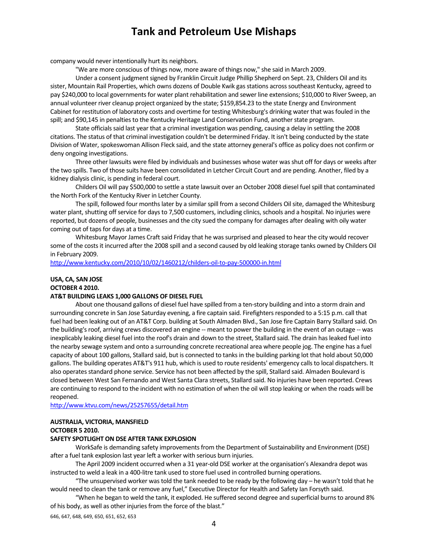company would never intentionally hurt its neighbors.

"We are more conscious of things now, more aware of things now," she said in March 2009.

Under a consent judgment signed by Franklin Circuit Judge Phillip Shepherd on Sept. 23, Childers Oil and its sister, Mountain Rail Properties, which owns dozens of Double Kwik gas stations across southeast Kentucky, agreed to pay \$240,000 to local governments for water plant rehabilitation and sewer line extensions; \$10,000 to River Sweep, an annual volunteer river cleanup project organized by the state; \$159,854.23 to the state Energy and Environment Cabinet for restitution of laboratory costs and overtime for testing Whitesburg's drinking water that was fouled in the spill; and \$90,145 in penalties to the Kentucky Heritage Land Conservation Fund, another state program.

State officials said last year that a criminal investigation was pending, causing a delay in settling the 2008 citations. The status of that criminal investigation couldn't be determined Friday. It isn't being conducted by the state Division of Water, spokeswoman Allison Fleck said, and the state attorney general's office as policy does not confirm or deny ongoing investigations.

Three other lawsuits were filed by individuals and businesses whose water wasshut off for days or weeks after the two spills. Two of those suits have been consolidated in Letcher Circuit Court and are pending. Another, filed by a kidney dialysis clinic, is pending in federal court.

Childers Oil will pay \$500,000 to settle a state lawsuit over an October 2008 diesel fuelspill that contaminated the North Fork of the Kentucky River in Letcher County.

The spill, followed four months later by a similar spill from a second Childers Oil site, damaged the Whitesburg water plant, shutting off service for days to 7,500 customers, including clinics, schools and a hospital. No injuries were reported, but dozens of people, businesses and the city sued the company for damages after dealing with oily water coming out of taps for days at a time.

Whitesburg Mayor James Craft said Friday that he was surprised and pleased to hear the city would recover some of the costsit incurred after the 2008 spill and a second caused by old leaking storage tanks owned by Childers Oil in February 2009.

http://www.kentucky.com/2010/10/02/1460212/childers‐oil‐to‐pay‐500000‐in.html

### **USA, CA, SAN JOSE OCTOBER 4 2010.**

#### **AT&T BUILDING LEAKS 1,000 GALLONS OF DIESEL FUEL**

About one thousand gallons of diesel fuel have spilled from a ten‐story building and into a storm drain and surrounding concrete in San Jose Saturday evening, a fire captain said. Firefighters responded to a 5:15 p.m. call that fuel had been leaking out of an AT&T Corp. building at South Almaden Blvd., San Jose fire Captain Barry Stallard said. On the building's roof, arriving crews discovered an engine -- meant to power the building in the event of an outage -- was inexplicably leaking diesel fuel into the roof's drain and down to the street, Stallard said. The drain has leaked fuel into the nearby sewage system and onto a surrounding concrete recreational area where people jog. The engine has a fuel capacity of about 100 gallons, Stallard said, but is connected to tanksin the building parking lot that hold about 50,000 gallons. The building operates AT&T's 911 hub, which is used to route residents' emergency callsto local dispatchers. It also operates standard phone service. Service has not been affected by the spill, Stallard said. Almaden Boulevard is closed between West San Fernando and West Santa Clara streets, Stallard said. No injuries have been reported. Crews are continuing to respond to the incident with no estimation of when the oil will stop leaking or when the roads will be reopened.

http://www.ktvu.com/news/25257655/detail.htm

#### **AUSTRALIA, VICTORIA, MANSFIELD**

#### **OCTOBER 5 2010.**

#### **SAFETY SPOTLIGHT ON DSE AFTER TANK EXPLOSION**

WorkSafe is demanding safety improvements from the Department of Sustainability and Environment (DSE) after a fuel tank explosion last year left a worker with serious burn injuries.

The April 2009 incident occurred when a 31 year‐old DSE worker at the organisation's Alexandra depot was instructed to weld a leak in a 400‐litre tank used to store fuel used in controlled burning operations.

"The unsupervised worker wastold the tank needed to be ready by the following day – he wasn't told that he would need to clean the tank or remove any fuel," Executive Director for Health and Safety Ian Forsyth said.

"When he began to weld the tank, it exploded. He suffered second degree and superficial burnsto around 8% of his body, as well as other injuries from the force of the blast."

646, 647, 648, 649, 650, 651, 652, 653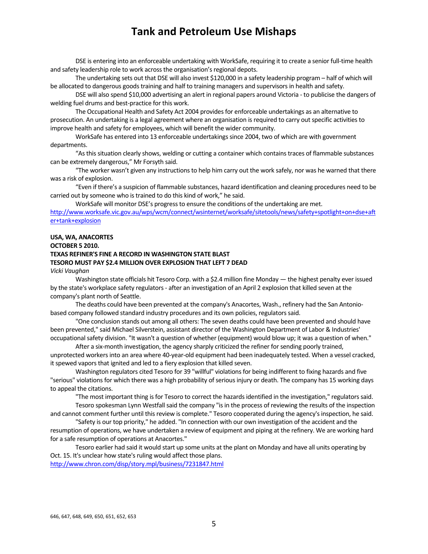DSE is entering into an enforceable undertaking with WorkSafe, requiring it to create a senior full‐time health and safety leadership role to work across the organisation's regional depots.

The undertaking sets out that DSE will also invest \$120,000 in a safety leadership program – half of which will be allocated to dangerous goods training and half to training managers and supervisors in health and safety.

DSE will also spend \$10,000 advertising an alert in regional papers around Victoria ‐ to publicise the dangers of welding fuel drums and best‐practice for this work.

The Occupational Health and Safety Act 2004 provides for enforceable undertakings as an alternative to prosecution. An undertaking is a legal agreement where an organisation is required to carry out specific activities to improve health and safety for employees, which will benefit the wider community.

WorkSafe has entered into 13 enforceable undertakings since 2004, two of which are with government departments.

"Asthissituation clearly shows, welding or cutting a container which containstraces of flammable substances can be extremely dangerous," Mr Forsyth said.

"The worker wasn't given any instructions to help him carry out the work safely, nor was he warned that there was a risk of explosion.

"Even if there's a suspicion of flammable substances, hazard identification and cleaning procedures need to be carried out by someone who is trained to do this kind of work," he said.

WorkSafe will monitor DSE's progress to ensure the conditions of the undertaking are met.

http://www.worksafe.vic.gov.au/wps/wcm/connect/wsinternet/worksafe/sitetools/news/safety+spotlight+on+dse+aft er+tank+explosion

#### **USA, WA, ANACORTES**

### **OCTOBER 5 2010. TEXAS REFINER'S FINE A RECORD IN WASHINGTON STATE BLAST TESORO MUST PAY \$2.4 MILLION OVER EXPLOSION THAT LEFT 7 DEAD**

*Vicki Vaughan*

Washington state officials hit Tesoro Corp. with a \$2.4 million fine Monday — the highest penalty ever issued by the state's workplace safety regulators ‐ after an investigation of an April 2 explosion that killed seven at the company's plant north of Seattle.

The deaths could have been prevented at the company's Anacortes, Wash., refinery had the San Antonio‐ based company followed standard industry procedures and its own policies, regulatorssaid.

"One conclusion stands out among all others: The seven deaths could have been prevented and should have been prevented," said Michael Silverstein, assistant director of the Washington Department of Labor & Industries' occupational safety division. "It wasn't a question of whether (equipment) would blow up; it was a question of when."

After a six-month investigation, the agency sharply criticized the refiner for sending poorly trained, unprotected workersinto an area where 40‐year‐old equipment had been inadequately tested. When a vessel cracked, it spewed vapors that ignited and led to a fiery explosion that killed seven.

Washington regulators cited Tesoro for 39 "willful" violations for being indifferent to fixing hazards and five "serious" violations for which there was a high probability of serious injury or death. The company has 15 working days to appeal the citations.

"The most important thing is for Tesoro to correct the hazards identified in the investigation," regulators said. Tesoro spokesman Lynn Westfall said the company "is in the process of reviewing the results of the inspection

and cannot comment further until this review is complete." Tesoro cooperated during the agency's inspection, he said. "Safety is our top priority," he added. "In connection with our own investigation of the accident and the

resumption of operations, we have undertaken a review of equipment and piping at the refinery. We are working hard for a safe resumption of operations at Anacortes."

Tesoro earlier had said it would start up some units at the plant on Monday and have all units operating by Oct. 15. It's unclear how state's ruling would affect those plans. http://www.chron.com/disp/story.mpl/business/7231847.html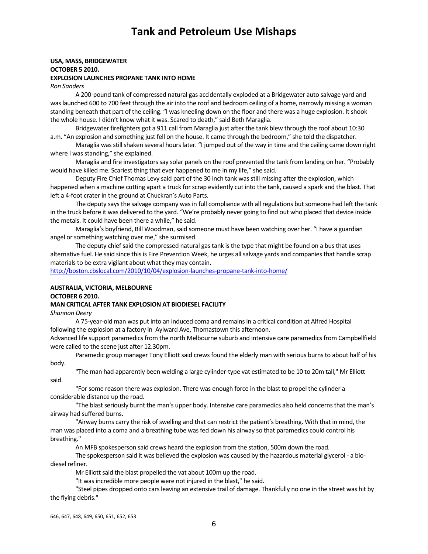#### **USA, MASS, BRIDGEWATER OCTOBER 5 2010. EXPLOSION LAUNCHES PROPANE TANK INTO HOME**

*Ron Sanders*

A 200‐pound tank of compressed natural gas accidentally exploded at a Bridgewater auto salvage yard and was launched 600 to 700 feet through the air into the roof and bedroom ceiling of a home, narrowly missing a woman standing beneath that part of the ceiling. "I was kneeling down on the floor and there was a huge explosion. It shook the whole house. I didn't know what it was. Scared to death," said Beth Maraglia.

Bridgewater firefighters got a 911 call from Maraglia just after the tank blew through the roof about 10:30 a.m. "An explosion and something just fell on the house. It came through the bedroom," she told the dispatcher.

Maraglia was still shaken several hours later. "I jumped out of the way in time and the ceiling came down right where I was standing," she explained.

Maraglia and fire investigatorssay solar panels on the roof prevented the tank from landing on her. "Probably would have killed me. Scariest thing that ever happened to me in my life," she said.

Deputy Fire Chief Thomas Levy said part of the 30 inch tank wasstill missing after the explosion, which happened when a machine cutting apart a truck forscrap evidently cut into the tank, caused a spark and the blast. That left a 4‐foot crater in the ground at Chuckran's Auto Parts.

The deputy says the salvage company was in full compliance with all regulations but someone had left the tank in the truck before it was delivered to the yard. "We're probably never going to find out who placed that device inside the metals. It could have been there a while," he said.

Maraglia's boyfriend, Bill Woodman, said someone must have been watching over her. "I have a guardian angel or something watching over me," she surmised.

The deputy chief said the compressed natural gas tank is the type that might be found on a bus that uses alternative fuel. He said since this is Fire Prevention Week, he urges all salvage yards and companies that handle scrap materials to be extra vigilant about what they may contain.

http://boston.cbslocal.com/2010/10/04/explosion-launches-propane-tank-into-home/

### **AUSTRALIA, VICTORIA, MELBOURNE OCTOBER 6 2010.**

#### **MAN CRITICAL AFTER TANK EXPLOSION AT BIODIESEL FACILITY**

*Shannon Deery*

A 75‐year‐old man was put into an induced coma and remainsin a critical condition at Alfred Hospital following the explosion at a factory in Aylward Ave, Thomastown this afternoon.

Advanced life support paramedics from the north Melbourne suburb and intensive care paramedics from Campbellfield were called to the scene just after 12.30pm.

Paramedic group manager Tony Elliott said crews found the elderly man with serious burns to about half of his body.

"The man had apparently been welding a large cylinder‐type vat estimated to be 10 to 20m tall," Mr Elliott said.

"For some reason there was explosion. There was enough force in the blast to propel the cylinder a considerable distance up the road.

"The blast seriously burnt the man's upper body. Intensive care paramedics also held concerns that the man's airway had suffered burns.

"Airway burns carry the risk of swelling and that can restrict the patient's breathing. With that in mind, the man was placed into a coma and a breathing tube wasfed down his airway so that paramedics could control his breathing."

An MFB spokesperson said crews heard the explosion from the station, 500m down the road.

The spokesperson said it was believed the explosion was caused by the hazardous material glycerol - a biodiesel refiner.

Mr Elliott said the blast propelled the vat about 100m up the road.

"It was incredible more people were not injured in the blast," he said.

"Steel pipes dropped onto carsleaving an extensive trail of damage. Thankfully no one in the street was hit by the flying debris."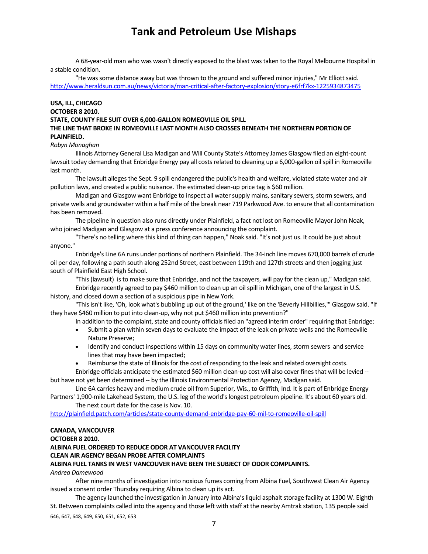A 68‐year‐old man who was wasn't directly exposed to the blast wastaken to the Royal Melbourne Hospital in a stable condition.

"He was some distance away but was thrown to the ground and suffered minor injuries," Mr Elliott said. http://www.heraldsun.com.au/news/victoria/man‐critical‐after‐factory‐explosion/story‐e6frf7kx‐1225934873475

## **USA, ILL, CHICAGO**

## **OCTOBER 8 2010.**

#### **STATE, COUNTY FILE SUIT OVER 6,000‐GALLON ROMEOVILLE OIL SPILL**

### **THE LINE THAT BROKE IN ROMEOVILLE LAST MONTH ALSO CROSSES BENEATH THE NORTHERN PORTION OF PLAINFIELD.**

#### *Robyn Monaghan*

Illinois Attorney General Lisa Madigan and Will County State's Attorney James Glasgow filed an eight‐count lawsuit today demanding that Enbridge Energy pay all costs related to cleaning up a 6,000-gallon oil spill in Romeoville last month.

The lawsuit allegesthe Sept. 9 spill endangered the public's health and welfare, violated state water and air pollution laws, and created a public nuisance. The estimated clean-up price tag is \$60 million.

Madigan and Glasgow want Enbridge to inspect all water supply mains, sanitary sewers, storm sewers, and private wells and groundwater within a half mile of the break near 719 Parkwood Ave. to ensure that all contamination has been removed.

The pipeline in question also runs directly under Plainfield, a fact not lost on Romeoville Mayor John Noak, who joined Madigan and Glasgow at a press conference announcing the complaint.

"There's no telling where this kind of thing can happen," Noak said. "It's not just us. It could be just about anyone."

Enbridge's Line 6A runs under portions of northern Plainfield. The 34‐inch line moves 670,000 barrels of crude oil per day, following a path south along 252nd Street, east between 119th and 127th streets and then jogging just south of Plainfield East High School.

"This(lawsuit) isto make sure that Enbridge, and not the taxpayers, will pay for the clean up," Madigan said.

Enbridge recently agreed to pay \$460 million to clean up an oil spill in Michigan, one of the largest in U.S. history, and closed down a section of a suspicious pipe in New York.

"This isn't like, 'Oh, look what's bubbling up out of the ground,' like on the 'Beverly Hillbillies,"' Glasgow said. "If they have \$460 million to put into clean-up, why not put \$460 million into prevention?"

In addition to the complaint, state and county officials filed an "agreed interim order" requiring that Enbridge:

- Submit a plan within seven daysto evaluate the impact of the leak on private wells and the Romeoville Nature Preserve;
- Identify and conduct inspections within 15 days on community water lines, storm sewers and service lines that may have been impacted;
- Reimburse the state of Illinois for the cost of responding to the leak and related oversight costs.

## Enbridge officials anticipate the estimated \$60 million clean-up cost will also cover fines that will be levied -but have not yet been determined ‐‐ by the Illinois Environmental Protection Agency, Madigan said.

Line 6A carries heavy and medium crude oil from Superior, Wis., to Griffith, Ind. It is part of Enbridge Energy Partners' 1,900-mile Lakehead System, the U.S. leg of the world's longest petroleum pipeline. It's about 60 years old.

The next court date for the case is Nov. 10.

http://plainfield.patch.com/articles/state‐county‐demand‐enbridge‐pay‐60‐mil‐to‐romeoville‐oil‐spill

## **CANADA, VANCOUVER**

## **OCTOBER 8 2010.**

## **ALBINA FUEL ORDERED TO REDUCE ODOR AT VANCOUVER FACILITY**

## **CLEAN AIR AGENCY BEGAN PROBE AFTER COMPLAINTS**

## **ALBINA FUEL TANKS IN WEST VANCOUVER HAVE BEEN THE SUBJECT OF ODOR COMPLAINTS.**

## *Andrea Damewood*

After nine months of investigation into noxious fumes coming from Albina Fuel, Southwest Clean Air Agency issued a consent order Thursday requiring Albina to clean up its act.

646, 647, 648, 649, 650, 651, 652, 653 The agency launched the investigation in January into Albina's liquid asphalt storage facility at 1300 W. Eighth St. Between complaints called into the agency and those left with staff at the nearby Amtrak station, 135 people said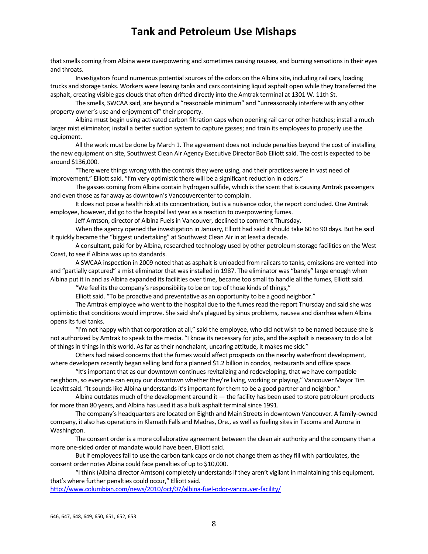that smells coming from Albina were overpowering and sometimes causing nausea, and burning sensations in their eyes and throats.

Investigators found numerous potential sources of the odors on the Albina site, including rail cars, loading trucks and storage tanks. Workers were leaving tanks and cars containing liquid asphalt open while they transferred the asphalt, creating visible gas clouds that often drifted directly into the Amtrak terminal at 1301 W. 11th St.

The smells, SWCAA said, are beyond a "reasonable minimum" and "unreasonably interfere with any other property owner's use and enjoyment of" their property.

Albina must begin using activated carbon filtration caps when opening rail car or other hatches; install a much larger mist eliminator; install a better suction system to capture gasses; and train its employees to properly use the equipment.

All the work must be done by March 1. The agreement does not include penalties beyond the cost of installing the new equipment on site, Southwest Clean Air Agency Executive Director Bob Elliott said. The cost is expected to be around \$136,000.

"There were things wrong with the controls they were using, and their practices were in vast need of improvement," Elliott said. "I'm very optimistic there will be a significant reduction in odors."

The gasses coming from Albina contain hydrogen sulfide, which is the scent that is causing Amtrak passengers and even those as far away as downtown's Vancouvercenter to complain.

It does not pose a health risk at its concentration, but is a nuisance odor, the report concluded. One Amtrak employee, however, did go to the hospital last year as a reaction to overpowering fumes.

Jeff Arntson, director of Albina Fuels in Vancouver, declined to comment Thursday.

When the agency opened the investigation in January, Elliott had said it should take 60 to 90 days. But he said it quickly became the "biggest undertaking" at Southwest Clean Air in at least a decade.

A consultant, paid for by Albina, researched technology used by other petroleum storage facilities on the West Coast, to see if Albina was up to standards.

A SWCAA inspection in 2009 noted that as asphalt is unloaded from railcarsto tanks, emissions are vented into and "partially captured" a mist eliminator that was installed in 1987. The eliminator was "barely" large enough when Albina put it in and as Albina expanded its facilities over time, became too small to handle all the fumes, Elliott said.

"We feel its the company's responsibility to be on top of those kinds of things,"

Elliott said. "To be proactive and preventative as an opportunity to be a good neighbor."

The Amtrak employee who went to the hospital due to the fumesread the report Thursday and said she was optimistic that conditions would improve. She said she's plagued by sinus problems, nausea and diarrhea when Albina opens its fuel tanks.

"I'm not happy with that corporation at all," said the employee, who did not wish to be named because she is not authorized by Amtrak to speak to the media. "I know its necessary for jobs, and the asphalt is necessary to do a lot of things in things in this world. As far as their nonchalant, uncaring attitude, it makes me sick."

Others had raised concerns that the fumes would affect prospects on the nearby waterfront development, where developers recently began selling land for a planned \$1.2 billion in condos, restaurants and office space.

"It's important that as our downtown continues revitalizing and redeveloping, that we have compatible neighbors, so everyone can enjoy our downtown whether they're living, working or playing," Vancouver Mayor Tim Leavitt said. "It sounds like Albina understands it's important for them to be a good partner and neighbor."

Albina outdates much of the development around it  $-$  the facility has been used to store petroleum products for more than 80 years, and Albina has used it as a bulk asphalt terminal since 1991.

The company's headquarters are located on Eighth and Main Streets in downtown Vancouver. A family-owned company, it also has operations in Klamath Falls and Madras, Ore., as well as fueling sites in Tacoma and Aurora in Washington.

The consent order is a more collaborative agreement between the clean air authority and the company than a more one-sided order of mandate would have been, Elliott said.

But if employeesfail to use the carbon tank caps or do not change them asthey fill with particulates, the consent order notes Albina could face penalties of up to \$10,000.

"I think (Albina director Arntson) completely understandsif they aren't vigilant in maintaining this equipment, that's where further penalties could occur," Elliott said.

http://www.columbian.com/news/2010/oct/07/albina-fuel-odor-vancouver-facility/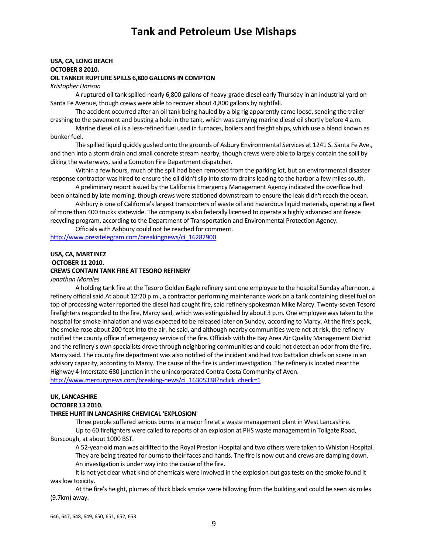#### **USA, CA, LONG BEACH OCTOBER 8 2010.**

### **OIL TANKER RUPTURE SPILLS 6,800 GALLONS IN COMPTON**

*Kristopher Hanson*

A ruptured oil tank spilled nearly 6,800 gallons of heavy‐grade diesel early Thursday in an industrial yard on Santa Fe Avenue, though crews were able to recover about 4,800 gallons by nightfall.

The accident occurred after an oil tank being hauled by a big rig apparently came loose, sending the trailer crashing to the pavement and busting a hole in the tank, which was carrying marine diesel oilshortly before 4 a.m.

Marine diesel oil is a less-refined fuel used in furnaces, boilers and freight ships, which use a blend known as bunker fuel.

The spilled liquid quickly gushed onto the grounds of Asbury Environmental Services at 1241 S. Santa Fe Ave., and then into a storm drain and small concrete stream nearby, though crews were able to largely contain the spill by diking the waterways, said a Compton Fire Department dispatcher.

Within a few hours, much of the spill had been removed from the parking lot, but an environmental disaster response contractor was hired to ensure the oil didn't slip into storm drains leading to the harbor a few miles south.

A preliminary report issued by the California Emergency Management Agency indicated the overflow had been ontained by late morning, though crews were stationed downstream to ensure the leak didn't reach the ocean.

Ashbury is one of California's largest transporters of waste oil and hazardous liquid materials, operating a fleet of more than 400 trucks statewide. The company is also federally licensed to operate a highly advanced antifreeze recycling program, according to the Department of Transportation and Environmental Protection Agency.

Officials with Ashbury could not be reached for comment.

http://www.presstelegram.com/breakingnews/ci\_16282900

### **USA, CA, MARTINEZ OCTOBER 11 2010. CREWS CONTAIN TANK FIRE AT TESORO REFINERY**

*Jonathan Morales*

A holding tank fire at the Tesoro Golden Eagle refinery sent one employee to the hospital Sunday afternoon, a refinery official said.At about 12:20 p.m., a contractor performing maintenance work on a tank containing diesel fuel on top of processing water reported the diesel had caught fire, said refinery spokesman Mike Marcy. Twenty-seven Tesoro firefighters responded to the fire, Marcy said, which was extinguished by about 3 p.m. One employee was taken to the hospital for smoke inhalation and was expected to be released later on Sunday, according to Marcy. At the fire's peak, the smoke rose about 200 feet into the air, he said, and although nearby communities were not at risk, the refinery notified the county office of emergency service of the fire. Officials with the Bay Area Air Quality Management District and the refinery's own specialists drove through neighboring communities and could not detect an odor from the fire, Marcy said. The county fire department was also notified of the incident and had two battalion chiefs on scene in an advisory capacity, according to Marcy. The cause of the fire is under investigation. The refinery islocated near the Highway 4‐Interstate 680 junction in the unincorporated Contra Costa Community of Avon. http://www.mercurynews.com/breaking-news/ci\_16305338?nclick\_check=1

## **UK, LANCASHIRE**

#### **OCTOBER 13 2010.**

#### **THREE HURT IN LANCASHIRE CHEMICAL 'EXPLOSION'**

Three people suffered serious burns in a major fire at a waste management plant in West Lancashire.

Up to 60 firefighters were called to reports of an explosion at PHS waste management in Tollgate Road, Burscough, at about 1000 BST.

A 52‐year‐old man was airlifted to the Royal Preston Hospital and two others were taken to Whiston Hospital. They are being treated for burns to their faces and hands. The fire is now out and crews are damping down. An investigation is under way into the cause of the fire.

It is not yet clear what kind of chemicals were involved in the explosion but gas tests on the smoke found it was low toxicity.

At the fire's height, plumes of thick black smoke were billowing from the building and could be seen six miles (9.7km) away.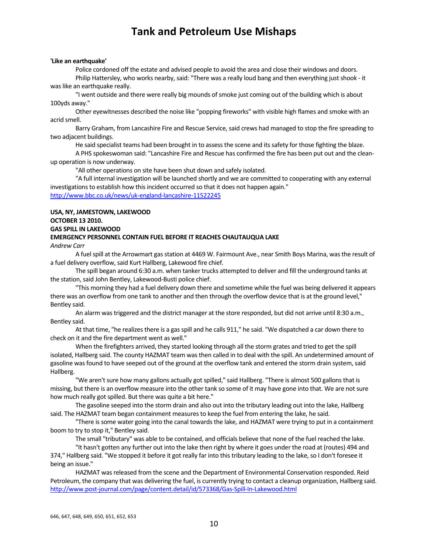#### **'Like an earthquake'**

Police cordoned off the estate and advised people to avoid the area and close their windows and doors. Philip Hattersley, who works nearby, said: "There was a really loud bang and then everything just shook - it was like an earthquake really.

"I went outside and there were really big mounds ofsmoke just coming out of the building which is about 100yds away."

Other eyewitnesses described the noise like "popping fireworks" with visible high flames and smoke with an acrid smell.

Barry Graham, from Lancashire Fire and Rescue Service, said crews had managed to stop the fire spreading to two adjacent buildings.

He said specialist teams had been brought in to assess the scene and its safety for those fighting the blaze.

A PHS spokeswoman said: "Lancashire Fire and Rescue has confirmed the fire has been put out and the clean‐ up operation is now underway.

"All other operations on site have been shut down and safely isolated.

"A full internal investigation will be launched shortly and we are committed to cooperating with any external investigations to establish how this incident occurred so that it does not happen again." http://www.bbc.co.uk/news/uk‐england‐lancashire‐11522245

### **USA, NY, JAMESTOWN, LAKEWOOD OCTOBER 13 2010. GAS SPILL IN LAKEWOOD**

### **EMERGENCY PERSONNEL CONTAIN FUEL BEFORE IT REACHES CHAUTAUQUA LAKE**

*Andrew Carr*

A fuel spill at the Arrowmart gas station at 4469 W. Fairmount Ave., near Smith Boys Marina, was the result of a fuel delivery overflow, said Kurt Hallberg, Lakewood fire chief.

The spill began around 6:30 a.m. when tanker trucks attempted to deliver and fill the underground tanks at the station, said John Bentley, Lakewood-Busti police chief.

"This morning they had a fuel delivery down there and sometime while the fuel was being delivered it appears there was an overflow from one tank to another and then through the overflow device that is at the ground level," Bentley said.

An alarm was triggered and the district manager at the store responded, but did not arrive until 8:30 a.m., Bentley said.

At that time, "he realizes there is a gas spill and he calls 911," he said. "We dispatched a car down there to check on it and the fire department went as well."

When the firefighters arrived, they started looking through all the storm grates and tried to get the spill isolated, Hallberg said. The county HAZMAT team was then called in to deal with the spill. An undetermined amount of gasoline was found to have seeped out of the ground at the overflow tank and entered the storm drain system, said Hallberg.

"We aren't sure how many gallons actually got spilled," said Hallberg. "There is almost 500 gallons that is missing, but there is an overflow measure into the other tank so some of it may have gone into that. We are not sure how much really got spilled. But there was quite a bit here."

The gasoline seeped into the storm drain and also out into the tributary leading out into the lake, Hallberg said. The HAZMAT team began containment measures to keep the fuel from entering the lake, he said.

"There is some water going into the canal towards the lake, and HAZMAT were trying to put in a containment boom to try to stop it," Bentley said.

The small "tributary" was able to be contained, and officials believe that none of the fuel reached the lake.

"It hasn't gotten any further out into the lake then right by where it goes under the road at (routes) 494 and 374," Hallberg said. "We stopped it before it got really far into this tributary leading to the lake, so I don't foresee it being an issue."

HAZMAT was released from the scene and the Department of Environmental Conservation responded. Reid Petroleum, the company that was delivering the fuel, is currently trying to contact a cleanup organization, Hallberg said. http://www.post‐journal.com/page/content.detail/id/573368/Gas‐Spill‐In‐Lakewood.html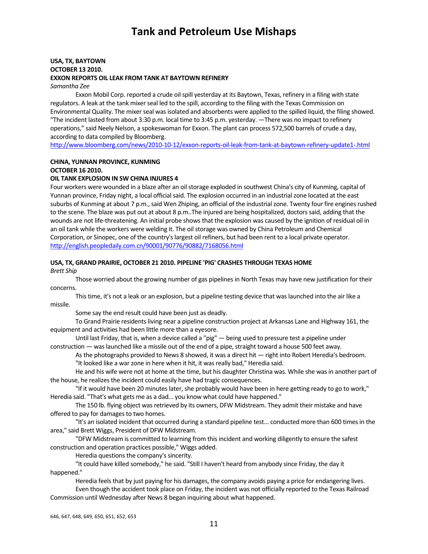## **USA, TX, BAYTOWN OCTOBER 13 2010. EXXON REPORTS OIL LEAK FROM TANK AT BAYTOWN REFINERY**

*Samantha Zee*

Exxon Mobil Corp. reported a crude oil spill yesterday at its Baytown, Texas, refinery in a filing with state regulators. A leak at the tank mixer seal led to the spill, according to the filing with the Texas Commission on Environmental Quality. The mixer seal was isolated and absorbents were applied to the spilled liquid, the filing showed. "The incident lasted from about 3:30 p.m. local time to 3:45 p.m. yesterday. ―There was no impact to refinery operations," said Neely Nelson, a spokeswoman for Exxon. The plant can process 572,500 barrels of crude a day, according to data compiled by Bloomberg.

http://www.bloomberg.com/news/2010‐10‐12/exxon‐reports‐oil‐leak‐from‐tank‐at‐baytown‐refinery‐update1‐.html

## **CHINA, YUNNAN PROVINCE, KUNMING**

**OCTOBER 16 2010.** 

## **OIL TANK EXPLOSION IN SW CHINA INJURES 4**

Four workers were wounded in a blaze after an oil storage exploded in southwest China's city of Kunming, capital of Yunnan province, Friday night, a local official said. The explosion occurred in an industrial zone located at the east suburbs of Kunming at about 7 p.m., said Wen Zhiping, an official of the industrial zone. Twenty four fire engines rushed to the scene. The blaze was put out at about 8 p.m..The injured are being hospitalized, doctorssaid, adding that the wounds are not life-threatening. An initial probe shows that the explosion was caused by the ignition of residual oil in an oil tank while the workers were welding it. The oil storage was owned by China Petroleum and Chemical Corporation, or Sinopec, one of the country'slargest oil refiners, but had been rent to a local private operator. http://english.peopledaily.com.cn/90001/90776/90882/7168056.html

## **USA, TX, GRAND PRAIRIE, OCTOBER 21 2010. PIPELINE 'PIG' CRASHES THROUGH TEXAS HOME**

*Brett Ship*

Those worried about the growing number of gas pipelines in North Texas may have new justification for their concerns.

Thistime, it's not a leak or an explosion, but a pipeline testing device that waslaunched into the air like a missile.

Some say the end result could have been just as deadly.

To Grand Prairie residentsliving near a pipeline construction project at Arkansas Lane and Highway 161, the equipment and activities had been little more than a eyesore.

Until last Friday, that is, when a device called a "pig" — being used to pressure test a pipeline under construction — was launched like a missile out of the end of a pipe, straight toward a house 500 feet away.

Asthe photographs provided to News 8 showed, it was a direct hit — right into Robert Heredia's bedroom. "It looked like a war zone in here when it hit, it was really bad," Heredia said.

He and his wife were not at home at the time, but his daughter Christina was. While she was in another part of the house, he realizes the incident could easily have had tragic consequences.

"If it would have been 20 minutes later, she probably would have been in here getting ready to go to work," Heredia said. "That's what gets me as a dad... you know what could have happened."

The 150 lb. flying object was retrieved by its owners, DFW Midstream. They admit their mistake and have offered to pay for damages to two homes.

"It's an isolated incident that occurred during a standard pipeline test... conducted more than 600 timesin the area," said Brett Wiggs, President of DFW Midstream.

"DFW Midstream is committed to learning from thisincident and working diligently to ensure the safest construction and operation practices possible," Wiggs added.

Heredia questions the company's sincerity.

"It could have killed somebody," he said. "Still I haven't heard from anybody since Friday, the day it happened."

Heredia feels that by just paying for his damages, the company avoids paying a price for endangering lives.

Even though the accident took place on Friday, the incident was not officially reported to the Texas Railroad Commission until Wednesday after News 8 began inquiring about what happened.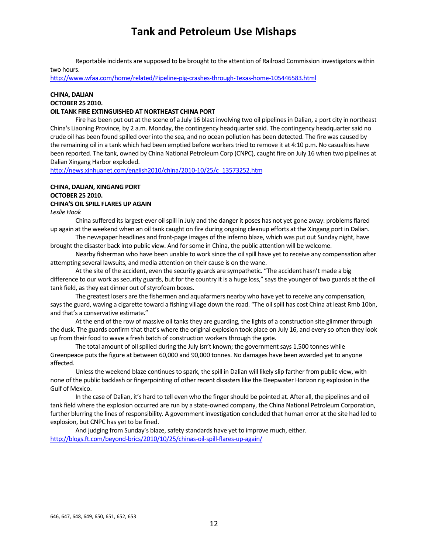Reportable incidents are supposed to be brought to the attention of Railroad Commission investigators within two hours.

http://www.wfaa.com/home/related/Pipeline‐pig‐crashes‐through‐Texas‐home‐105446583.html

## **CHINA, DALIAN**

## **OCTOBER 25 2010.**

## **OIL TANK FIRE EXTINGUISHED AT NORTHEAST CHINA PORT**

Fire has been put out at the scene of a July 16 blast involving two oil pipelines in Dalian, a port city in northeast China's Liaoning Province, by 2 a.m. Monday, the contingency headquartersaid. The contingency headquartersaid no crude oil has been found spilled over into the sea, and no ocean pollution has been detected. The fire was caused by the remaining oil in a tank which had been emptied before workers tried to remove it at 4:10 p.m. No casualties have been reported. The tank, owned by China National Petroleum Corp (CNPC), caught fire on July 16 when two pipelines at Dalian Xingang Harbor exploded.

http://news.xinhuanet.com/english2010/china/2010‐10/25/c\_13573252.htm

## **CHINA, DALIAN, XINGANG PORT OCTOBER 25 2010. CHINA'S OIL SPILL FLARES UP AGAIN**

*Leslie Hook*

China suffered itslargest‐ever oilspill in July and the danger it poses has not yet gone away: problemsflared up again at the weekend when an oil tank caught on fire during ongoing cleanup efforts at the Xingang port in Dalian.

The newspaper headlines and front‐page images of the inferno blaze, which was put out Sunday night, have brought the disaster back into public view. And forsome in China, the public attention will be welcome.

Nearby fisherman who have been unable to work since the oil spill have yet to receive any compensation after attempting several lawsuits, and media attention on their cause is on the wane.

At the site of the accident, even the security guards are sympathetic. "The accident hasn't made a big difference to our work assecurity guards, but for the country it is a huge loss," saysthe younger of two guards at the oil tank field, as they eat dinner out of styrofoam boxes.

The greatest losers are the fishermen and aquafarmers nearby who have yet to receive any compensation, says the guard, waving a cigarette toward a fishing village down the road. "The oil spill has cost China at least Rmb 10bn, and that's a conservative estimate."

At the end of the row of massive oil tanks they are guarding, the lights of a construction site glimmer through the dusk. The guards confirm that that's where the original explosion took place on July 16, and every so often they look up from their food to wave a fresh batch of construction workers through the gate.

The total amount of oil spilled during the July isn't known; the government says 1,500 tonnes while Greenpeace puts the figure at between 60,000 and 90,000 tonnes. No damages have been awarded yet to anyone affected.

Unlessthe weekend blaze continuesto spark, the spill in Dalian will likely slip farther from public view, with none of the public backlash or fingerpointing of other recent disasterslike the Deepwater Horizon rig explosion in the Gulf of Mexico.

In the case of Dalian, it's hard to tell even who the finger should be pointed at. After all, the pipelines and oil tank field where the explosion occurred are run by a state‐owned company, the China National Petroleum Corporation, further blurring the lines of responsibility. A government investigation concluded that human error at the site had led to explosion, but CNPC has yet to be fined.

And judging from Sunday's blaze, safety standards have yet to improve much, either. http://blogs.ft.com/beyond-brics/2010/10/25/chinas-oil-spill-flares-up-again/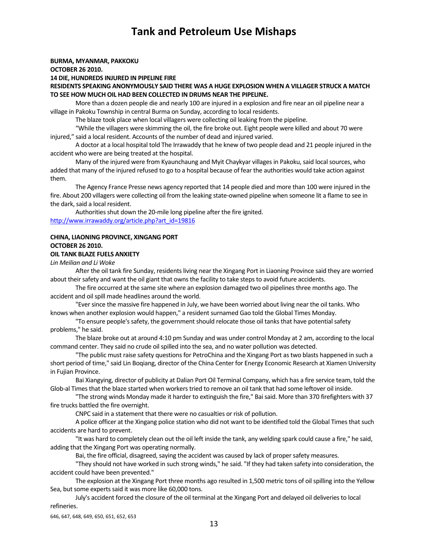#### **BURMA, MYANMAR, PAKKOKU**

**OCTOBER 26 2010.** 

**14 DIE, HUNDREDS INJURED IN PIPELINE FIRE**

**RESIDENTS SPEAKING ANONYMOUSLY SAID THERE WAS A HUGE EXPLOSION WHEN A VILLAGER STRUCK A MATCH TO SEE HOW MUCH OIL HAD BEEN COLLECTED IN DRUMS NEAR THE PIPELINE.**

More than a dozen people die and nearly 100 are injured in a explosion and fire near an oil pipeline near a village in Pakoku Township in central Burma on Sunday, according to local residents.

The blaze took place when local villagers were collecting oil leaking from the pipeline.

"While the villagers were skimming the oil, the fire broke out. Eight people were killed and about 70 were injured," said a local resident. Accounts of the number of dead and injured varied.

A doctor at a local hospital told The Irrawaddy that he knew of two people dead and 21 people injured in the accident who were are being treated at the hospital.

Many of the injured were from Kyaunchaung and Myit Chaykyar villages in Pakoku, said local sources, who added that many of the injured refused to go to a hospital because of fear the authorities would take action against them.

The Agency France Presse news agency reported that 14 people died and more than 100 were injured in the fire. About 200 villagers were collecting oil from the leaking state-owned pipeline when someone lit a flame to see in the dark, said a local resident.

Authorities shut down the 20-mile long pipeline after the fire ignited. http://www.irrawaddy.org/article.php?art\_id=19816

## **CHINA, LIAONING PROVINCE, XINGANG PORT OCTOBER 26 2010.**

#### **OIL TANK BLAZE FUELS ANXIETY**

*Lin Meilian and Li Woke*

After the oil tank fire Sunday, residents living near the Xingang Port in Liaoning Province said they are worried about their safety and want the oil giant that owns the facility to take steps to avoid future accidents.

The fire occurred at the same site where an explosion damaged two oil pipelines three months ago. The accident and oil spill made headlines around the world.

"Ever since the massive fire happened in July, we have been worried about living near the oil tanks. Who knows when another explosion would happen," a resident surnamed Gao told the Global Times Monday.

"To ensure people's safety, the government should relocate those oil tanks that have potential safety problems," he said.

The blaze broke out at around 4:10 pm Sunday and was under control Monday at 2 am, according to the local command center. They said no crude oil spilled into the sea, and no water pollution was detected.

"The public must raise safety questions for PetroChina and the Xingang Port as two blasts happened in such a short period of time," said Lin Boqiang, director of the China Center for Energy Economic Research at Xiamen University in Fujian Province.

Bai Xiangying, director of publicity at Dalian Port Oil Terminal Company, which has a fire service team, told the Glob-al Times that the blaze started when workers tried to remove an oil tank that had some leftover oil inside.

"The strong winds Monday made it harder to extinguish the fire," Baisaid. More than 370 firefighters with 37 fire trucks battled the fire overnight.

CNPC said in a statement that there were no casualties or risk of pollution.

A police officer at the Xingang police station who did not want to be identified told the Global Times that such accidents are hard to prevent.

"It was hard to completely clean out the oil left inside the tank, any welding spark could cause a fire," he said, adding that the Xingang Port was operating normally.

Bai, the fire official, disagreed, saying the accident was caused by lack of proper safety measures.

"They should not have worked in such strong winds," he said. "If they had taken safety into consideration, the accident could have been prevented."

The explosion at the Xingang Port three months ago resulted in 1,500 metric tons of oil spilling into the Yellow Sea, but some experts said it was more like 60,000 tons.

July's accident forced the closure of the oil terminal at the Xingang Port and delayed oil deliveriesto local refineries.

646, 647, 648, 649, 650, 651, 652, 653